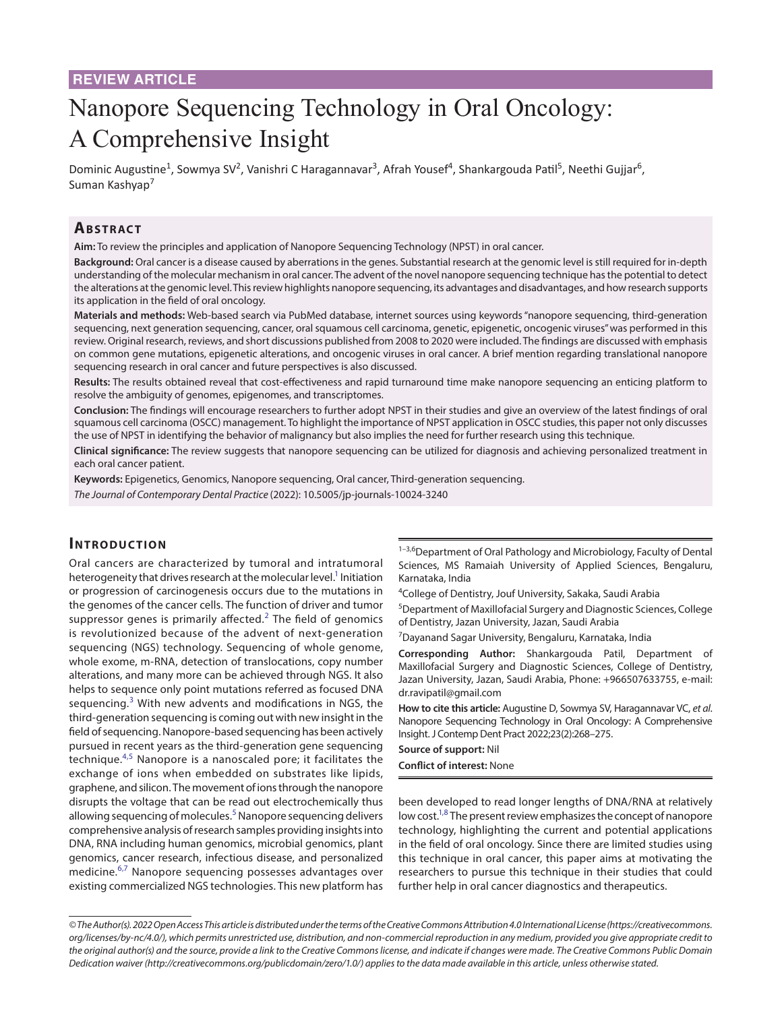# Nanopore Sequencing Technology in Oral Oncology: A Comprehensive Insight

Dominic Augustine<sup>1</sup>, Sowmya SV<sup>2</sup>, Vanishri C Haragannavar<sup>3</sup>, Afrah Yousef<sup>4</sup>, Shankargouda Patil<sup>5</sup>, Neethi Gujjar<sup>6</sup>, Suman Kashyap<sup>7</sup>

# **ABSTRACT**

**Aim:** To review the principles and application of Nanopore Sequencing Technology (NPST) in oral cancer.

**Background:** Oral cancer is a disease caused by aberrations in the genes. Substantial research at the genomic level is still required for in-depth understanding of the molecular mechanism in oral cancer. The advent of the novel nanopore sequencing technique has the potential to detect the alterations at the genomic level. This review highlights nanopore sequencing, its advantages and disadvantages, and how research supports its application in the field of oral oncology.

**Materials and methods:** Web-based search via PubMed database, internet sources using keywords "nanopore sequencing, third-generation sequencing, next generation sequencing, cancer, oral squamous cell carcinoma, genetic, epigenetic, oncogenic viruses" was performed in this review. Original research, reviews, and short discussions published from 2008 to 2020 were included. The findings are discussed with emphasis on common gene mutations, epigenetic alterations, and oncogenic viruses in oral cancer. A brief mention regarding translational nanopore sequencing research in oral cancer and future perspectives is also discussed.

**Results:** The results obtained reveal that cost-effectiveness and rapid turnaround time make nanopore sequencing an enticing platform to resolve the ambiguity of genomes, epigenomes, and transcriptomes.

**Conclusion:** The findings will encourage researchers to further adopt NPST in their studies and give an overview of the latest findings of oral squamous cell carcinoma (OSCC) management. To highlight the importance of NPST application in OSCC studies, this paper not only discusses the use of NPST in identifying the behavior of malignancy but also implies the need for further research using this technique.

**Clinical significance:** The review suggests that nanopore sequencing can be utilized for diagnosis and achieving personalized treatment in each oral cancer patient.

**Keywords:** Epigenetics, Genomics, Nanopore sequencing, Oral cancer, Third-generation sequencing.

*The Journal of Contemporary Dental Practice* (2022): 10.5005/jp-journals-10024-3240

### **INTRODUCTION**

Oral cancers are characterized by tumoral and intratumoral heterogeneity that drives research at the molecular level.<sup>1</sup> Initiation or progression of carcinogenesis occurs due to the mutations in the genomes of the cancer cells. The function of driver and tumor suppressor genes is primarily affected.<sup>[2](#page-5-1)</sup> The field of genomics is revolutionized because of the advent of next-generation sequencing (NGS) technology. Sequencing of whole genome, whole exome, m-RNA, detection of translocations, copy number alterations, and many more can be achieved through NGS. It also helps to sequence only point mutations referred as focused DNA sequencing. $3$  With new advents and modifications in NGS, the third-generation sequencing is coming out with new insight in the field of sequencing. Nanopore-based sequencing has been actively pursued in recent years as the third-generation gene sequencing technique.<sup>[4](#page-5-3),[5](#page-5-4)</sup> Nanopore is a nanoscaled pore; it facilitates the exchange of ions when embedded on substrates like lipids, graphene, and silicon. The movement of ions through the nanopore disrupts the voltage that can be read out electrochemically thus allowing sequencing of molecules.<sup>[5](#page-5-4)</sup> Nanopore sequencing delivers comprehensive analysis of research samples providing insights into DNA, RNA including human genomics, microbial genomics, plant genomics, cancer research, infectious disease, and personalized medicine.<sup>[6,](#page-5-5)[7](#page-5-6)</sup> Nanopore sequencing possesses advantages over existing commercialized NGS technologies. This new platform has

<sup>1-3,6</sup>Department of Oral Pathology and Microbiology, Faculty of Dental Sciences, MS Ramaiah University of Applied Sciences, Bengaluru, Karnataka, India

4 College of Dentistry, Jouf University, Sakaka, Saudi Arabia

<sup>5</sup>Department of Maxillofacial Surgery and Diagnostic Sciences, College of Dentistry, Jazan University, Jazan, Saudi Arabia

<sup>7</sup>Dayanand Sagar University, Bengaluru, Karnataka, India

**Corresponding Author:** Shankargouda Patil, Department of Maxillofacial Surgery and Diagnostic Sciences, College of Dentistry, Jazan University, Jazan, Saudi Arabia, Phone: +966507633755, e-mail: dr.ravipatil@gmail.com

**How to cite this article:** Augustine D, Sowmya SV, Haragannavar VC, *et al*. Nanopore Sequencing Technology in Oral Oncology: A Comprehensive Insight. J Contemp Dent Pract 2022;23(2):268–275.

**Source of support:** Nil

**Conflict of interest:** None

been developed to read longer lengths of DNA/RNA at relatively low cost.<sup>1,[8](#page-5-7)</sup> The present review emphasizes the concept of nanopore technology, highlighting the current and potential applications in the field of oral oncology. Since there are limited studies using this technique in oral cancer, this paper aims at motivating the researchers to pursue this technique in their studies that could further help in oral cancer diagnostics and therapeutics.

*<sup>©</sup> The Author(s). 2022 Open Access This article is distributed under the terms of the Creative Commons Attribution 4.0 International License ([https://creativecommons.](https://creativecommons. org/licenses/by-nc/4.0/)  [org/licenses/by-nc/4.0/](https://creativecommons. org/licenses/by-nc/4.0/)), which permits unrestricted use, distribution, and non-commercial reproduction in any medium, provided you give appropriate credit to the original author(s) and the source, provide a link to the Creative Commons license, and indicate if changes were made. The Creative Commons Public Domain Dedication waiver ([http://creativecommons.org/publicdomain/zero/1.0/\)](http://creativecommons.org/publicdomain/zero/1.0/) applies to the data made available in this article, unless otherwise stated.*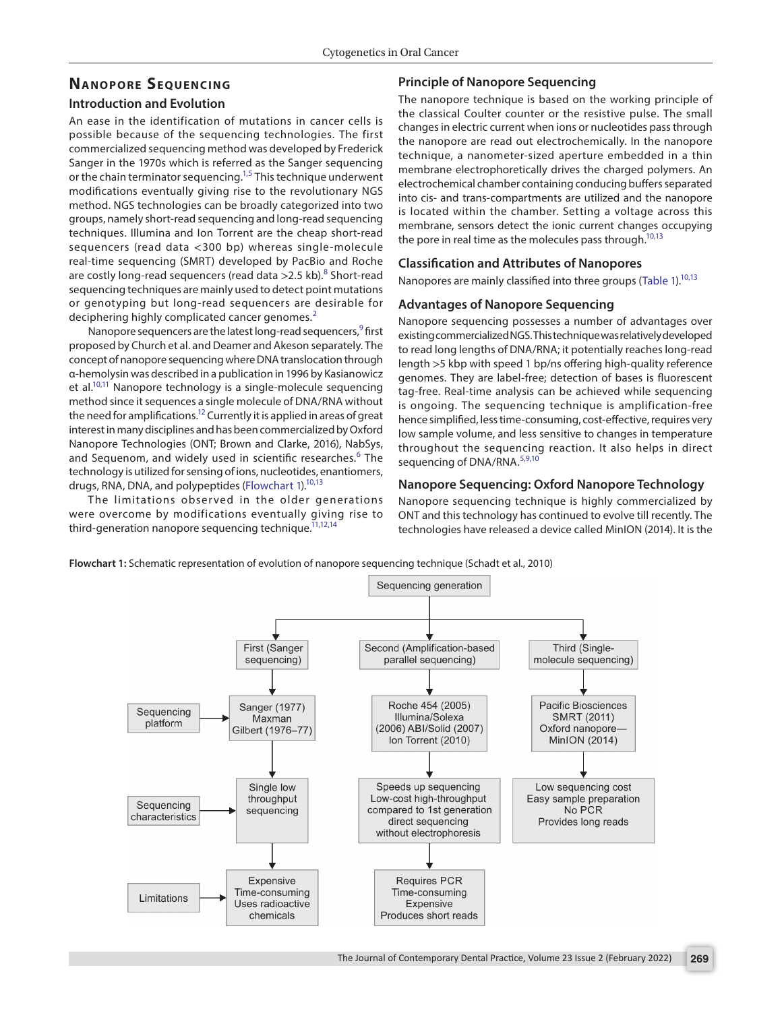## **NANOPORE SEQUENCING**

### **Introduction and Evolution**

An ease in the identification of mutations in cancer cells is possible because of the sequencing technologies. The first commercialized sequencing method was developed by Frederick Sanger in the 1970s which is referred as the Sanger sequencing or the chain terminator sequencing.<sup>1,[5](#page-5-4)</sup> This technique underwent modifications eventually giving rise to the revolutionary NGS method. NGS technologies can be broadly categorized into two groups, namely short-read sequencing and long-read sequencing techniques. Illumina and Ion Torrent are the cheap short-read sequencers (read data <300 bp) whereas single-molecule real-time sequencing (SMRT) developed by PacBio and Roche are costly long-read sequencers (read data >2.5 kb).<sup>[8](#page-5-7)</sup> Short-read sequencing techniques are mainly used to detect point mutations or genotyping but long-read sequencers are desirable for deciphering highly complicated cancer genomes.<sup>[2](#page-5-1)</sup>

Nanopore sequencers are the latest long-read sequencers,<sup>9</sup> first proposed by Church et al. and Deamer and Akeson separately. The concept of nanopore sequencing where DNA translocation through α-hemolysin was described in a publication in 1996 by Kasianowicz et al.<sup>10,11</sup> Nanopore technology is a single-molecule sequencing method since it sequences a single molecule of DNA/RNA without the need for amplifications.<sup>12</sup> Currently it is applied in areas of great interest in many disciplines and has been commercialized by Oxford Nanopore Technologies (ONT; Brown and Clarke, 2016), NabSys, and Sequenom, and widely used in scientific researches.<sup>[6](#page-5-5)</sup> The technology is utilized for sensing of ions, nucleotides, enantiomers, drugs, RNA, DNA, and polypeptides [\(Flowchart 1\)](#page-1-0).<sup>10[,13](#page-5-12)</sup>

The limitations observed in the older generations were overcome by modifications eventually giving rise to third-generation nanopore sequencing technique.<sup>11,[12,](#page-5-11)[14](#page-5-13)</sup>

### **Principle of Nanopore Sequencing**

The nanopore technique is based on the working principle of the classical Coulter counter or the resistive pulse. The small changes in electric current when ions or nucleotides pass through the nanopore are read out electrochemically. In the nanopore technique, a nanometer-sized aperture embedded in a thin membrane electrophoretically drives the charged polymers. An electrochemical chamber containing conducing buffers separated into cis- and trans-compartments are utilized and the nanopore is located within the chamber. Setting a voltage across this membrane, sensors detect the ionic current changes occupying the pore in real time as the molecules pass through.<sup>10[,13](#page-5-12)</sup>

### **Classification and Attributes of Nanopores**

Nanopores are mainly classified into three groups ([Table 1](#page-2-0)).<sup>10[,13](#page-5-12)</sup>

### **Advantages of Nanopore Sequencing**

Nanopore sequencing possesses a number of advantages over existing commercialized NGS. This technique was relatively developed to read long lengths of DNA/RNA; it potentially reaches long-read length >5 kbp with speed 1 bp/ns offering high-quality reference genomes. They are label-free; detection of bases is fluorescent tag-free. Real-time analysis can be achieved while sequencing is ongoing. The sequencing technique is amplification-free hence simplified, less time-consuming, cost-effective, requires very low sample volume, and less sensitive to changes in temperature throughout the sequencing reaction. It also helps in direct sequencing of DNA/RNA.<sup>[5](#page-5-4),[9](#page-5-8)[,10](#page-5-9)</sup>

### **Nanopore Sequencing: Oxford Nanopore Technology**

Nanopore sequencing technique is highly commercialized by ONT and this technology has continued to evolve till recently. The technologies have released a device called MinION (2014). It is the

<span id="page-1-0"></span>**Flowchart 1:** Schematic representation of evolution of nanopore sequencing technique (Schadt et al., 2010)

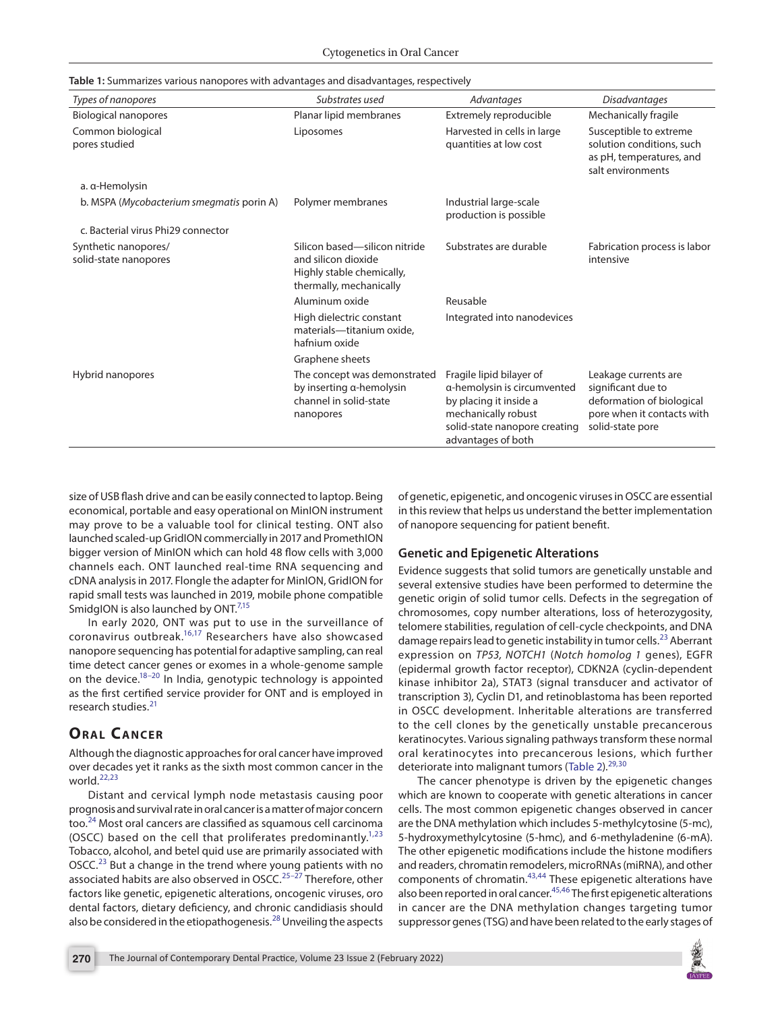<span id="page-2-0"></span>

|  |  | Table 1: Summarizes various nanopores with advantages and disadvantages, respectively |  |
|--|--|---------------------------------------------------------------------------------------|--|

| Types of nanopores                            | Substrates used                                                                                              | Advantages                                                                                                                                                      | <b>Disadvantages</b>                                                                                                      |
|-----------------------------------------------|--------------------------------------------------------------------------------------------------------------|-----------------------------------------------------------------------------------------------------------------------------------------------------------------|---------------------------------------------------------------------------------------------------------------------------|
| Biological nanopores                          | Planar lipid membranes                                                                                       | Extremely reproducible                                                                                                                                          | Mechanically fragile                                                                                                      |
| Common biological<br>pores studied            | Liposomes                                                                                                    | Harvested in cells in large<br>quantities at low cost                                                                                                           | Susceptible to extreme<br>solution conditions, such<br>as pH, temperatures, and<br>salt environments                      |
| a. a-Hemolysin                                |                                                                                                              |                                                                                                                                                                 |                                                                                                                           |
| b. MSPA (Mycobacterium smegmatis porin A)     | Polymer membranes                                                                                            | Industrial large-scale<br>production is possible                                                                                                                |                                                                                                                           |
| c. Bacterial virus Phi29 connector            |                                                                                                              |                                                                                                                                                                 |                                                                                                                           |
| Synthetic nanopores/<br>solid-state nanopores | Silicon based-silicon nitride<br>and silicon dioxide<br>Highly stable chemically,<br>thermally, mechanically | Substrates are durable                                                                                                                                          | Fabrication process is labor<br>intensive                                                                                 |
|                                               | Aluminum oxide                                                                                               | Reusable                                                                                                                                                        |                                                                                                                           |
|                                               | High dielectric constant<br>materials-titanium oxide,<br>hafnium oxide                                       | Integrated into nanodevices                                                                                                                                     |                                                                                                                           |
|                                               | Graphene sheets                                                                                              |                                                                                                                                                                 |                                                                                                                           |
| Hybrid nanopores                              | The concept was demonstrated<br>by inserting a-hemolysin<br>channel in solid-state<br>nanopores              | Fragile lipid bilayer of<br>a-hemolysin is circumvented<br>by placing it inside a<br>mechanically robust<br>solid-state nanopore creating<br>advantages of both | Leakage currents are<br>significant due to<br>deformation of biological<br>pore when it contacts with<br>solid-state pore |

size of USB flash drive and can be easily connected to laptop. Being economical, portable and easy operational on MinION instrument may prove to be a valuable tool for clinical testing. ONT also launched scaled-up GridION commercially in 2017 and PromethION bigger version of MinION which can hold 48 flow cells with 3,000 channels each. ONT launched real-time RNA sequencing and cDNA analysis in 2017. Flongle the adapter for MinION, GridION for rapid small tests was launched in 2019, mobile phone compatible SmidgION is also launched by ONT.<sup>[7,](#page-5-6)[15](#page-5-14)</sup>

In early 2020, ONT was put to use in the surveillance of coronavirus outbreak.[16,](#page-5-15)[17](#page-5-16) Researchers have also showcased nanopore sequencing has potential for adaptive sampling, can real time detect cancer genes or exomes in a whole-genome sample on the device. $18-20$  $18-20$  In India, genotypic technology is appointed as the first certified service provider for ONT and is employed in research studies.<sup>[21](#page-5-19)</sup>

# **ORAL CANCER**

Although the diagnostic approaches for oral cancer have improved over decades yet it ranks as the sixth most common cancer in the world.<sup>[22,](#page-6-0)[23](#page-6-1)</sup>

Distant and cervical lymph node metastasis causing poor prognosis and survival rate in oral cancer is a matter of major concern too.[24](#page-6-2) Most oral cancers are classified as squamous cell carcinoma (OSCC) based on the cell that proliferates predominantly. $1,23$  $1,23$ Tobacco, alcohol, and betel quid use are primarily associated with OSCC.<sup>23</sup> But a change in the trend where young patients with no associated habits are also observed in OSCC.<sup>25-[27](#page-6-4)</sup> Therefore, other factors like genetic, epigenetic alterations, oncogenic viruses, oro dental factors, dietary deficiency, and chronic candidiasis should also be considered in the etiopathogenesis.<sup>28</sup> Unveiling the aspects

of genetic, epigenetic, and oncogenic viruses in OSCC are essential in this review that helps us understand the better implementation of nanopore sequencing for patient benefit.

#### **Genetic and Epigenetic Alterations**

Evidence suggests that solid tumors are genetically unstable and several extensive studies have been performed to determine the genetic origin of solid tumor cells. Defects in the segregation of chromosomes, copy number alterations, loss of heterozygosity, telomere stabilities, regulation of cell-cycle checkpoints, and DNA damage repairs lead to genetic instability in tumor cells.<sup>[23](#page-6-1)</sup> Aberrant expression on *TP53, NOTCH1* (*Notch homolog 1* genes), EGFR (epidermal growth factor receptor), CDKN2A (cyclin-dependent kinase inhibitor 2a), STAT3 (signal transducer and activator of transcription 3), Cyclin D1, and retinoblastoma has been reported in OSCC development. Inheritable alterations are transferred to the cell clones by the genetically unstable precancerous keratinocytes. Various signaling pathways transform these normal oral keratinocytes into precancerous lesions, which further deteriorate into malignant tumors ([Table 2\)](#page-3-0).<sup>[29,](#page-6-6)[30](#page-6-7)</sup>

The cancer phenotype is driven by the epigenetic changes which are known to cooperate with genetic alterations in cancer cells. The most common epigenetic changes observed in cancer are the DNA methylation which includes 5-methylcytosine (5-mc), 5-hydroxymethylcytosine (5-hmc), and 6-methyladenine (6-mA). The other epigenetic modifications include the histone modifiers and readers, chromatin remodelers, microRNAs (miRNA), and other components of chromatin.<sup>[43,](#page-6-8)44</sup> These epigenetic alterations have also been reported in oral cancer.<sup>45,[46](#page-6-11)</sup> The first epigenetic alterations in cancer are the DNA methylation changes targeting tumor suppressor genes (TSG) and have been related to the early stages of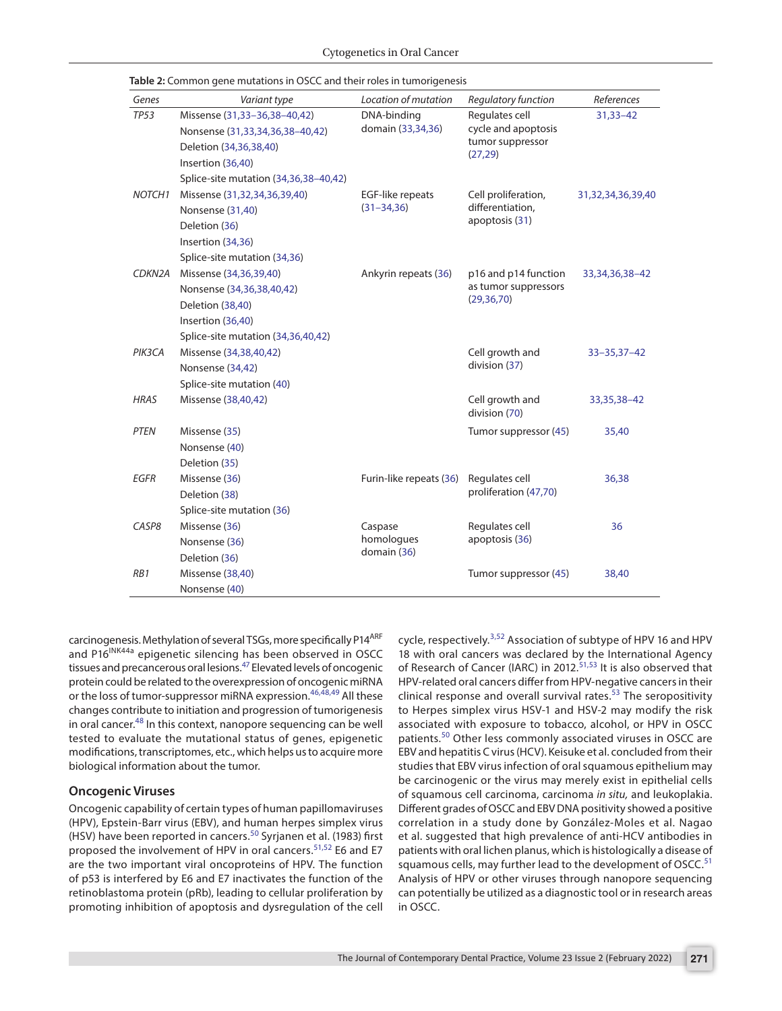| Genes              | Variant type                                                                           | Location of mutation                       | Regulatory function                                       | References          |       |                          |            |                |    |
|--------------------|----------------------------------------------------------------------------------------|--------------------------------------------|-----------------------------------------------------------|---------------------|-------|--------------------------|------------|----------------|----|
| <b>TP53</b>        | Missense (31,33-36,38-40,42)                                                           | DNA-binding<br>domain (33,34,36)           | Regulates cell                                            | $31,33 - 42$        |       |                          |            |                |    |
|                    | Nonsense (31,33,34,36,38-40,42)                                                        |                                            | cycle and apoptosis<br>tumor suppressor<br>(27, 29)       |                     |       |                          |            |                |    |
|                    | Deletion (34,36,38,40)                                                                 |                                            |                                                           |                     |       |                          |            |                |    |
|                    | Insertion (36,40)                                                                      |                                            |                                                           |                     |       |                          |            |                |    |
|                    | Splice-site mutation (34,36,38-40,42)                                                  |                                            |                                                           |                     |       |                          |            |                |    |
| NOTCH <sub>1</sub> | Missense (31,32,34,36,39,40)                                                           | <b>EGF-like repeats</b><br>$(31 - 34, 36)$ | Cell proliferation,<br>differentiation,<br>apoptosis (31) | 31,32,34,36,39,40   |       |                          |            |                |    |
|                    | Nonsense (31,40)                                                                       |                                            |                                                           |                     |       |                          |            |                |    |
|                    | Deletion (36)                                                                          |                                            |                                                           |                     |       |                          |            |                |    |
|                    | Insertion (34,36)                                                                      |                                            |                                                           |                     |       |                          |            |                |    |
|                    | Splice-site mutation (34,36)                                                           |                                            |                                                           |                     |       |                          |            |                |    |
| CDKN2A             | Missense (34,36,39,40)<br>Ankyrin repeats (36)                                         |                                            | p16 and p14 function                                      | 33, 34, 36, 38 - 42 |       |                          |            |                |    |
|                    | Nonsense (34,36,38,40,42)                                                              |                                            | as tumor suppressors                                      |                     |       |                          |            |                |    |
|                    | Deletion (38,40)                                                                       | (29, 36, 70)                               |                                                           |                     |       |                          |            |                |    |
|                    | Insertion (36,40)                                                                      |                                            |                                                           |                     |       |                          |            |                |    |
|                    | Splice-site mutation (34,36,40,42)                                                     |                                            |                                                           |                     |       |                          |            |                |    |
| PIK3CA             | Missense (34,38,40,42)                                                                 | Cell growth and<br>division (37)           | $33 - 35,37 - 42$                                         |                     |       |                          |            |                |    |
|                    | Nonsense (34,42)                                                                       |                                            |                                                           |                     |       |                          |            |                |    |
|                    | Splice-site mutation (40)                                                              |                                            |                                                           |                     |       |                          |            |                |    |
| <b>HRAS</b>        | Missense (38,40,42)                                                                    |                                            | Cell growth and<br>division (70)                          | 33, 35, 38 - 42     |       |                          |            |                |    |
| <b>PTEN</b>        | Missense (35)                                                                          |                                            | Tumor suppressor (45)                                     | 35,40               |       |                          |            |                |    |
|                    | Nonsense (40)                                                                          |                                            |                                                           |                     |       |                          |            |                |    |
|                    | Deletion (35)                                                                          |                                            |                                                           |                     |       |                          |            |                |    |
| <b>EGFR</b>        | Missense (36)<br>Furin-like repeats (36)<br>Deletion (38)<br>Splice-site mutation (36) |                                            | Regulates cell<br>proliferation (47,70)                   | 36,38               |       |                          |            |                |    |
|                    |                                                                                        |                                            |                                                           |                     | CASP8 | Missense (36)<br>Caspase |            | Regulates cell | 36 |
|                    |                                                                                        |                                            |                                                           |                     |       | Nonsense (36)            | homologues | apoptosis (36) |    |
| Deletion (36)      | domain (36)                                                                            |                                            |                                                           |                     |       |                          |            |                |    |
| RB1                | Missense (38,40)                                                                       |                                            | Tumor suppressor (45)                                     | 38,40               |       |                          |            |                |    |
|                    | Nonsense (40)                                                                          |                                            |                                                           |                     |       |                          |            |                |    |

<span id="page-3-0"></span>**Table 2:** Common gene mutations in OSCC and their roles in tumorigenesis

carcinogenesis. Methylation of several TSGs, more specifically P14<sup>ARF</sup> and P16<sup>INK44a</sup> epigenetic silencing has been observed in OSCC tissues and precancerous oral lesions[.47](#page-6-12) Elevated levels of oncogenic protein could be related to the overexpression of oncogenic miRNA or the loss of tumor-suppressor miRNA expression.<sup>[46,](#page-6-11)[48](#page-6-13),49</sup> All these changes contribute to initiation and progression of tumorigenesis in oral cancer.<sup>48</sup> In this context, nanopore sequencing can be well tested to evaluate the mutational status of genes, epigenetic modifications, transcriptomes, etc., which helps us to acquire more biological information about the tumor.

### **Oncogenic Viruses**

Oncogenic capability of certain types of human papillomaviruses (HPV), Epstein-Barr virus (EBV), and human herpes simplex virus (HSV) have been reported in cancers.<sup>50</sup> Syrjanen et al. (1983) first proposed the involvement of HPV in oral cancers.<sup>[51,](#page-6-16)[52](#page-6-17)</sup> E6 and E7 are the two important viral oncoproteins of HPV. The function of p53 is interfered by E6 and E7 inactivates the function of the retinoblastoma protein (pRb), leading to cellular proliferation by promoting inhibition of apoptosis and dysregulation of the cell cycle, respectively.<sup>[3](#page-5-2),[52](#page-6-17)</sup> Association of subtype of HPV 16 and HPV 18 with oral cancers was declared by the International Agency of Research of Cancer (IARC) in 2012.<sup>[51,](#page-6-16)53</sup> It is also observed that HPV-related oral cancers differ from HPV-negative cancers in their clinical response and overall survival rates.<sup>53</sup> The seropositivity to Herpes simplex virus HSV-1 and HSV-2 may modify the risk associated with exposure to tobacco, alcohol, or HPV in OSCC patients.[50](#page-6-15) Other less commonly associated viruses in OSCC are EBV and hepatitis C virus (HCV). Keisuke et al. concluded from their studies that EBV virus infection of oral squamous epithelium may be carcinogenic or the virus may merely exist in epithelial cells of squamous cell carcinoma, carcinoma *in situ,* and leukoplakia. Different grades of OSCC and EBV DNA positivity showed a positive correlation in a study done by González-Moles et al. Nagao et al. suggested that high prevalence of anti-HCV antibodies in patients with oral lichen planus, which is histologically a disease of squamous cells, may further lead to the development of OSCC.<sup>[51](#page-6-16)</sup> Analysis of HPV or other viruses through nanopore sequencing can potentially be utilized as a diagnostic tool or in research areas in OSCC.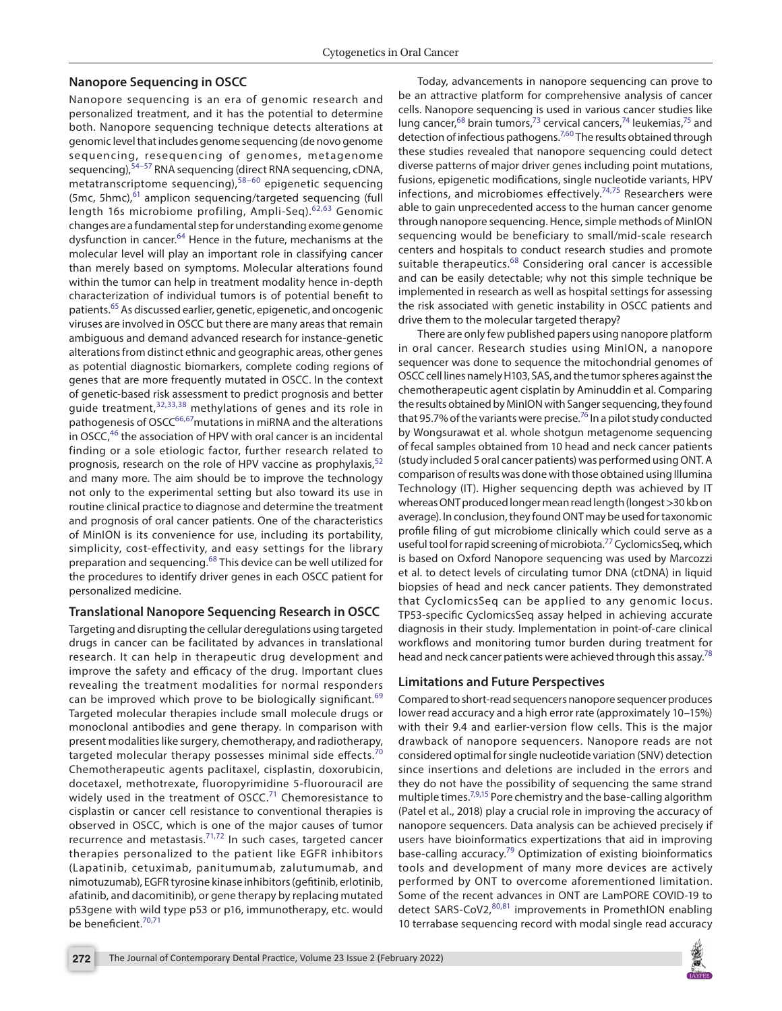### **Nanopore Sequencing in OSCC**

Nanopore sequencing is an era of genomic research and personalized treatment, and it has the potential to determine both. Nanopore sequencing technique detects alterations at genomic level that includes genome sequencing (de novo genome sequencing, resequencing of genomes, metagenome sequencing), <sup>[54–](#page-6-30)[57](#page-6-31)</sup> RNA sequencing (direct RNA sequencing, cDNA, metatranscriptome sequencing),[58](#page-6-32)–[60](#page-6-33) epigenetic sequencing (5mc, 5hmc), $61$  amplicon sequencing/targeted sequencing (full length 16s microbiome profiling, Ampli-Seq).<sup>[62](#page-7-1),[63](#page-7-2)</sup> Genomic changes are a fundamental step for understanding exome genome dysfunction in cancer.<sup>[64](#page-7-3)</sup> Hence in the future, mechanisms at the molecular level will play an important role in classifying cancer than merely based on symptoms. Molecular alterations found within the tumor can help in treatment modality hence in-depth characterization of individual tumors is of potential benefit to patients.[65](#page-7-4) As discussed earlier, genetic, epigenetic, and oncogenic viruses are involved in OSCC but there are many areas that remain ambiguous and demand advanced research for instance-genetic alterations from distinct ethnic and geographic areas, other genes as potential diagnostic biomarkers, complete coding regions of genes that are more frequently mutated in OSCC. In the context of genetic-based risk assessment to predict prognosis and better guide treatment,[32](#page-6-26),[33,](#page-6-20)[38](#page-6-22) methylations of genes and its role in pathogenesis of OSCC<sup>66,67</sup>mutations in miRNA and the alterations in OSCC,<sup>46</sup> the association of HPV with oral cancer is an incidental finding or a sole etiologic factor, further research related to prognosis, research on the role of HPV vaccine as prophylaxis,<sup>[52](#page-6-17)</sup> and many more. The aim should be to improve the technology not only to the experimental setting but also toward its use in routine clinical practice to diagnose and determine the treatment and prognosis of oral cancer patients. One of the characteristics of MinION is its convenience for use, including its portability, simplicity, cost-effectivity, and easy settings for the library preparation and sequencing.[68](#page-7-7) This device can be well utilized for the procedures to identify driver genes in each OSCC patient for personalized medicine.

### **Translational Nanopore Sequencing Research in OSCC**

Targeting and disrupting the cellular deregulations using targeted drugs in cancer can be facilitated by advances in translational research. It can help in therapeutic drug development and improve the safety and efficacy of the drug. Important clues revealing the treatment modalities for normal responders can be improved which prove to be biologically significant.<sup>[69](#page-7-8)</sup> Targeted molecular therapies include small molecule drugs or monoclonal antibodies and gene therapy. In comparison with present modalities like surgery, chemotherapy, and radiotherapy, targeted molecular therapy possesses minimal side effects.<sup>7</sup> Chemotherapeutic agents paclitaxel, cisplastin, doxorubicin, docetaxel, methotrexate, fluoropyrimidine 5-fluorouracil are widely used in the treatment of  $OSCC<sup>71</sup>$  $OSCC<sup>71</sup>$  $OSCC<sup>71</sup>$  Chemoresistance to cisplastin or cancer cell resistance to conventional therapies is observed in OSCC, which is one of the major causes of tumor recurrence and metastasis.[71,](#page-7-9)[72](#page-7-10) In such cases, targeted cancer therapies personalized to the patient like EGFR inhibitors (Lapatinib, cetuximab, panitumumab, zalutumumab, and nimotuzumab), EGFR tyrosine kinase inhibitors (gefitinib, erlotinib, afatinib, and dacomitinib), or gene therapy by replacing mutated p53gene with wild type p53 or p16, immunotherapy, etc. would be beneficient. $70,71$  $70,71$  $70,71$ 

Today, advancements in nanopore sequencing can prove to be an attractive platform for comprehensive analysis of cancer cells. Nanopore sequencing is used in various cancer studies like lung cancer,<sup>[68](#page-7-7)</sup> brain tumors,<sup>73</sup> cervical cancers,<sup>74</sup> leukemias,<sup>75</sup> and detection of infectious pathogens.<sup>[7](#page-5-6),[60](#page-6-33)</sup> The results obtained through these studies revealed that nanopore sequencing could detect diverse patterns of major driver genes including point mutations, fusions, epigenetic modifications, single nucleotide variants, HPV infections, and microbiomes effectively.<sup>[74](#page-7-12),75</sup> Researchers were able to gain unprecedented access to the human cancer genome through nanopore sequencing. Hence, simple methods of MinION sequencing would be beneficiary to small/mid-scale research centers and hospitals to conduct research studies and promote suitable therapeutics.<sup>[68](#page-7-7)</sup> Considering oral cancer is accessible and can be easily detectable; why not this simple technique be implemented in research as well as hospital settings for assessing the risk associated with genetic instability in OSCC patients and drive them to the molecular targeted therapy?

There are only few published papers using nanopore platform in oral cancer. Research studies using MinION, a nanopore sequencer was done to sequence the mitochondrial genomes of OSCC cell lines namely H103, SAS, and the tumor spheres against the chemotherapeutic agent cisplatin by Aminuddin et al. Comparing the results obtained by MinION with Sanger sequencing, they found that 95.7% of the variants were precise.<sup>76</sup> In a pilot study conducted by Wongsurawat et al. whole shotgun metagenome sequencing of fecal samples obtained from 10 head and neck cancer patients (study included 5 oral cancer patients) was performed using ONT. A comparison of results was done with those obtained using Illumina Technology (IT). Higher sequencing depth was achieved by IT whereas ONT produced longer mean read length (longest >30 kb on average). In conclusion, they found ONT may be used for taxonomic profile filing of gut microbiome clinically which could serve as a useful tool for rapid screening of microbiota.<sup>[77](#page-7-15)</sup> CyclomicsSeq, which is based on Oxford Nanopore sequencing was used by Marcozzi et al. to detect levels of circulating tumor DNA (ctDNA) in liquid biopsies of head and neck cancer patients. They demonstrated that CyclomicsSeq can be applied to any genomic locus. TP53-specific CyclomicsSeq assay helped in achieving accurate diagnosis in their study. Implementation in point-of-care clinical workflows and monitoring tumor burden during treatment for head and neck cancer patients were achieved through this assay.<sup>[78](#page-7-16)</sup>

### **Limitations and Future Perspectives**

Compared to short-read sequencers nanopore sequencer produces lower read accuracy and a high error rate (approximately 10–15%) with their 9.4 and earlier-version flow cells. This is the major drawback of nanopore sequencers. Nanopore reads are not considered optimal for single nucleotide variation (SNV) detection since insertions and deletions are included in the errors and they do not have the possibility of sequencing the same strand multiple times.<sup>[7](#page-5-6)[,9,](#page-5-8)15</sup> Pore chemistry and the base-calling algorithm (Patel et al., 2018) play a crucial role in improving the accuracy of nanopore sequencers. Data analysis can be achieved precisely if users have bioinformatics expertizations that aid in improving base-calling accuracy.<sup>79</sup> Optimization of existing bioinformatics tools and development of many more devices are actively performed by ONT to overcome aforementioned limitation. Some of the recent advances in ONT are LamPORE COVID-19 to detect SARS-CoV2,<sup>[80](#page-7-18),[81](#page-7-19)</sup> improvements in PromethION enabling 10 terrabase sequencing record with modal single read accuracy

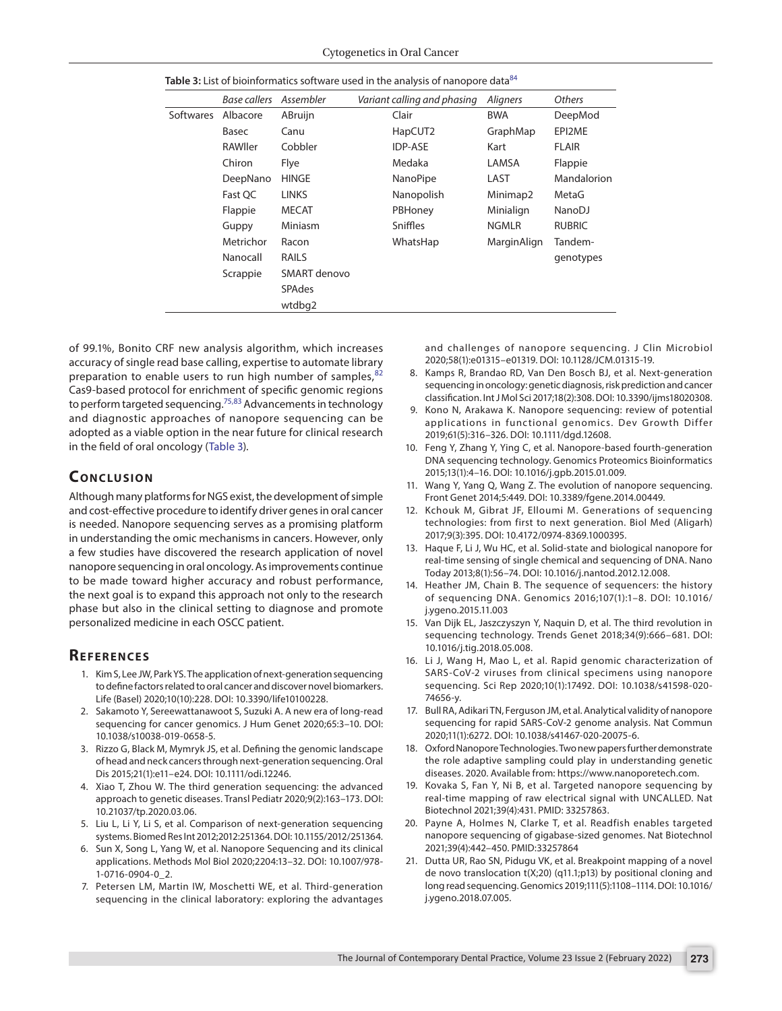|                  | Base callers | Assembler     | Variant calling and phasing | <b>Aligners</b> | Others        |
|------------------|--------------|---------------|-----------------------------|-----------------|---------------|
| <b>Softwares</b> | Albacore     | ABruijn       | Clair                       | <b>BWA</b>      | DeepMod       |
|                  | Basec        | Canu          | HapCUT2                     | GraphMap        | EPI2ME        |
|                  | RAWller      | Cobbler       | <b>IDP-ASE</b>              | Kart            | <b>FLAIR</b>  |
|                  | Chiron       | Flye          | Medaka                      | LAMSA           | Flappie       |
|                  | DeepNano     | <b>HINGE</b>  | NanoPipe                    | LAST            | Mandalorion   |
|                  | Fast OC      | <b>LINKS</b>  | Nanopolish                  | Minimap2        | MetaG         |
|                  | Flappie      | <b>MECAT</b>  | PBHoney                     | Minialign       | NanoDJ        |
|                  | Guppy        | Miniasm       | Sniffles                    | <b>NGMLR</b>    | <b>RUBRIC</b> |
|                  | Metrichor    | Racon         | WhatsHap                    | MarginAlign     | Tandem-       |
|                  | Nanocall     | <b>RAILS</b>  |                             |                 | genotypes     |
|                  | Scrappie     | SMART denovo  |                             |                 |               |
|                  |              | <b>SPAdes</b> |                             |                 |               |
|                  |              | wtdbg2        |                             |                 |               |
|                  |              |               |                             |                 |               |

<span id="page-5-20"></span>

of 99.1%, Bonito CRF new analysis algorithm, which increases accuracy of single read base calling, expertise to automate library preparation to enable users to run high number of samples, $\frac{3}{2}$ Cas9-based protocol for enrichment of specific genomic regions to perform targeted sequencing.<sup>75,[83](#page-7-21)</sup> Advancements in technology and diagnostic approaches of nanopore sequencing can be adopted as a viable option in the near future for clinical research in the field of oral oncology ([Table 3](#page-5-20)).

## **CONCLUSION**

Although many platforms for NGS exist, the development of simple and cost-effective procedure to identify driver genes in oral cancer is needed. Nanopore sequencing serves as a promising platform in understanding the omic mechanisms in cancers. However, only a few studies have discovered the research application of novel nanopore sequencing in oral oncology. As improvements continue to be made toward higher accuracy and robust performance, the next goal is to expand this approach not only to the research phase but also in the clinical setting to diagnose and promote personalized medicine in each OSCC patient.

### **Re f e r e n c e s**

- <span id="page-5-0"></span>1. Kim S, Lee JW, Park YS. The application of next-generation sequencing to define factors related to oral cancer and discover novel biomarkers. Life (Basel) 2020;10(10):228. DOI: 10.3390/life10100228.
- <span id="page-5-1"></span>2. Sakamoto Y, Sereewattanawoot S, Suzuki A. A new era of long-read sequencing for cancer genomics. J Hum Genet 2020;65:3–10. DOI: 10.1038/s10038-019-0658-5.
- <span id="page-5-2"></span>3. Rizzo G, Black M, Mymryk JS, et al. Defining the genomic landscape of head and neck cancers through next-generation sequencing. Oral Dis 2015;21(1):e11–e24. DOI: 10.1111/odi.12246.
- <span id="page-5-3"></span>4. Xiao T, Zhou W. The third generation sequencing: the advanced approach to genetic diseases. Transl Pediatr 2020;9(2):163–173. DOI: 10.21037/tp.2020.03.06.
- <span id="page-5-4"></span>5. Liu L, Li Y, Li S, et al. Comparison of next-generation sequencing systems. Biomed Res Int 2012;2012:251364. DOI: 10.1155/2012/251364.
- <span id="page-5-5"></span>6. Sun X, Song L, Yang W, et al. Nanopore Sequencing and its clinical applications. Methods Mol Biol 2020;2204:13–32. DOI: 10.1007/978- 1-0716-0904-0\_2.
- <span id="page-5-6"></span>7. Petersen LM, Martin IW, Moschetti WE, et al. Third-generation sequencing in the clinical laboratory: exploring the advantages

and challenges of nanopore sequencing. J Clin Microbiol 2020;58(1):e01315–e01319. DOI: 10.1128/JCM.01315-19.

- <span id="page-5-7"></span>8. Kamps R, Brandao RD, Van Den Bosch BJ, et al. Next-generation sequencing in oncology: genetic diagnosis, risk prediction and cancer classification. Int J Mol Sci 2017;18(2):308. DOI: 10.3390/ijms18020308.
- <span id="page-5-8"></span>9. Kono N, Arakawa K. Nanopore sequencing: review of potential applications in functional genomics. Dev Growth Differ 2019;61(5):316–326. DOI: 10.1111/dgd.12608.
- <span id="page-5-9"></span>10. Feng Y, Zhang Y, Ying C, et al. Nanopore-based fourth-generation DNA sequencing technology. Genomics Proteomics Bioinformatics 2015;13(1):4–16. DOI: 10.1016/j.gpb.2015.01.009.
- <span id="page-5-10"></span>11. Wang Y, Yang Q, Wang Z. The evolution of nanopore sequencing. Front Genet 2014;5:449. DOI: 10.3389/fgene.2014.00449.
- <span id="page-5-11"></span>12. Kchouk M, Gibrat JF, Elloumi M. Generations of sequencing technologies: from first to next generation. Biol Med (Aligarh) 2017;9(3):395. DOI: 10.4172/0974-8369.1000395.
- <span id="page-5-12"></span>13. Haque F, Li J, Wu HC, et al. Solid-state and biological nanopore for real-time sensing of single chemical and sequencing of DNA. Nano Today 2013;8(1):56–74. DOI: 10.1016/j.nantod.2012.12.008.
- <span id="page-5-13"></span>14. Heather JM, Chain B. The sequence of sequencers: the history of sequencing DNA. Genomics 2016;107(1):1–8. DOI: 10.1016/ j.ygeno.2015.11.003
- <span id="page-5-14"></span>15. Van Dijk EL, Jaszczyszyn Y, Naquin D, et al. The third revolution in sequencing technology. Trends Genet 2018;34(9):666–681. DOI: 10.1016/j.tig.2018.05.008.
- <span id="page-5-15"></span>16. Li J, Wang H, Mao L, et al. Rapid genomic characterization of SARS-CoV-2 viruses from clinical specimens using nanopore sequencing. Sci Rep 2020;10(1):17492. DOI: 10.1038/s41598-020- 74656-y.
- <span id="page-5-16"></span>17. Bull RA, Adikari TN, Ferguson JM, et al. Analytical validity of nanopore sequencing for rapid SARS-CoV-2 genome analysis. Nat Commun 2020;11(1):6272. DOI: 10.1038/s41467-020-20075-6.
- <span id="page-5-17"></span>18. Oxford Nanopore Technologies. Two new papers further demonstrate the role adaptive sampling could play in understanding genetic diseases. 2020. Available from: https://www.nanoporetech.com.
- 19. Kovaka S, Fan Y, Ni B, et al. Targeted nanopore sequencing by real-time mapping of raw electrical signal with UNCALLED. Nat Biotechnol 2021;39(4):431. PMID: 33257863.
- <span id="page-5-18"></span>20. Payne A, Holmes N, Clarke T, et al. Readfish enables targeted nanopore sequencing of gigabase-sized genomes. Nat Biotechnol 2021;39(4):442–450. PMID:33257864
- <span id="page-5-19"></span>21. Dutta UR, Rao SN, Pidugu VK, et al. Breakpoint mapping of a novel de novo translocation t(X;20) (q11.1;p13) by positional cloning and long read sequencing. Genomics 2019;111(5):1108–1114. DOI: 10.1016/ j.ygeno.2018.07.005.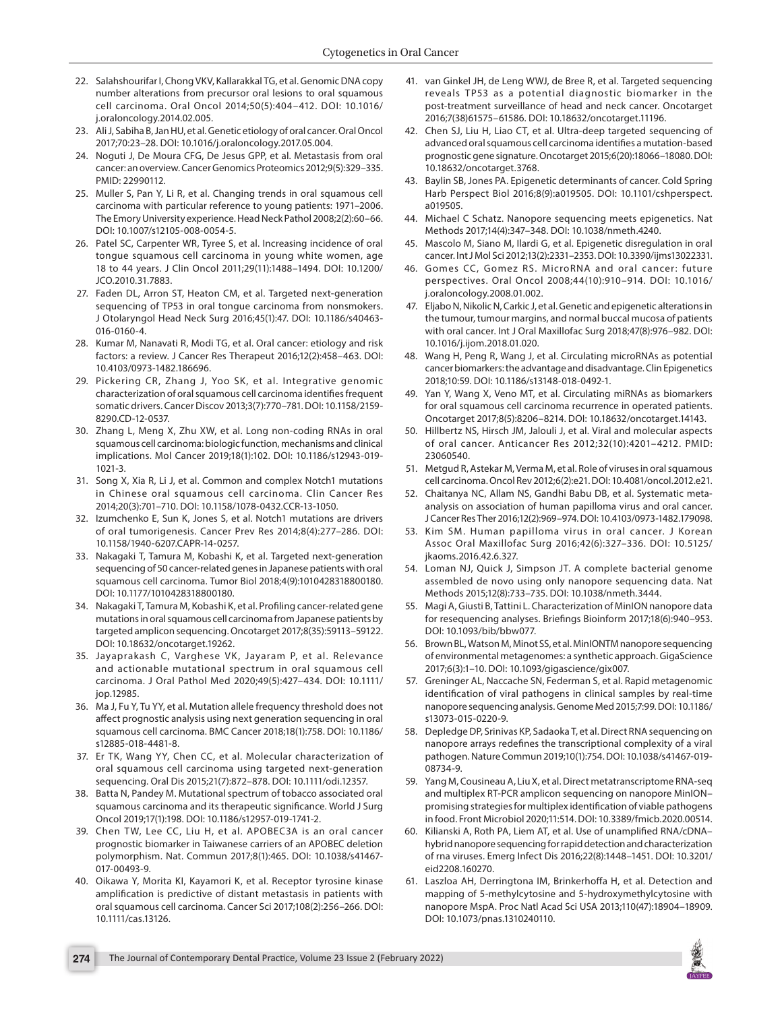- <span id="page-6-0"></span>22. Salahshourifar I, Chong VKV, Kallarakkal TG, et al. Genomic DNA copy number alterations from precursor oral lesions to oral squamous cell carcinoma. Oral Oncol 2014;50(5):404–412. DOI: 10.1016/ j.oraloncology.2014.02.005.
- <span id="page-6-1"></span>23. Ali J, Sabiha B, Jan HU, et al. Genetic etiology of oral cancer. Oral Oncol 2017;70:23–28. DOI: 10.1016/j.oraloncology.2017.05.004.
- <span id="page-6-2"></span>24. Noguti J, De Moura CFG, De Jesus GPP, et al. Metastasis from oral cancer: an overview. Cancer Genomics Proteomics 2012;9(5):329–335. PMID: 22990112.
- <span id="page-6-3"></span>25. Muller S, Pan Y, Li R, et al. Changing trends in oral squamous cell carcinoma with particular reference to young patients: 1971–2006. The Emory University experience. Head Neck Pathol 2008;2(2):60–66. DOI: 10.1007/s12105-008-0054-5.
- 26. Patel SC, Carpenter WR, Tyree S, et al. Increasing incidence of oral tongue squamous cell carcinoma in young white women, age 18 to 44 years. J Clin Oncol 2011;29(11):1488–1494. DOI: 10.1200/ JCO.2010.31.7883.
- <span id="page-6-4"></span>27. Faden DL, Arron ST, Heaton CM, et al. Targeted next-generation sequencing of TP53 in oral tongue carcinoma from nonsmokers. J Otolaryngol Head Neck Surg 2016;45(1):47. DOI: 10.1186/s40463- 016-0160-4.
- <span id="page-6-5"></span>28. Kumar M, Nanavati R, Modi TG, et al. Oral cancer: etiology and risk factors: a review. J Cancer Res Therapeut 2016;12(2):458–463. DOI: 10.4103/0973-1482.186696.
- <span id="page-6-6"></span>29. Pickering CR, Zhang J, Yoo SK, et al. Integrative genomic characterization of oral squamous cell carcinoma identifies frequent somatic drivers. Cancer Discov 2013;3(7):770–781. DOI: 10.1158/2159- 8290.CD-12-0537.
- <span id="page-6-7"></span>30. Zhang L, Meng X, Zhu XW, et al. Long non-coding RNAs in oral squamous cell carcinoma: biologic function, mechanisms and clinical implications. Mol Cancer 2019;18(1):102. DOI: 10.1186/s12943-019- 1021-3.
- <span id="page-6-19"></span>31. Song X, Xia R, Li J, et al. Common and complex Notch1 mutations in Chinese oral squamous cell carcinoma. Clin Cancer Res 2014;20(3):701–710. DOI: 10.1158/1078-0432.CCR-13-1050.
- <span id="page-6-26"></span>32. Izumchenko E, Sun K, Jones S, et al. Notch1 mutations are drivers of oral tumorigenesis. Cancer Prev Res 2014;8(4):277–286. DOI: 10.1158/1940-6207.CAPR-14-0257.
- <span id="page-6-20"></span>33. Nakagaki T, Tamura M, Kobashi K, et al. Targeted next-generation sequencing of 50 cancer-related genes in Japanese patients with oral squamous cell carcinoma. Tumor Biol 2018;4(9):1010428318800180. DOI: 10.1177/1010428318800180.
- <span id="page-6-25"></span>34. Nakagaki T, Tamura M, Kobashi K, et al. Profiling cancer-related gene mutations in oral squamous cell carcinoma from Japanese patients by targeted amplicon sequencing. Oncotarget 2017;8(35):59113–59122. DOI: 10.18632/oncotarget.19262.
- <span id="page-6-29"></span>35. Jayaprakash C, Varghese VK, Jayaram P, et al. Relevance and actionable mutational spectrum in oral squamous cell carcinoma. J Oral Pathol Med 2020;49(5):427–434. DOI: 10.1111/ jop.12985.
- <span id="page-6-21"></span>36. Ma J, Fu Y, Tu YY, et al. Mutation allele frequency threshold does not affect prognostic analysis using next generation sequencing in oral squamous cell carcinoma. BMC Cancer 2018;18(1):758. DOI: 10.1186/ s12885-018-4481-8.
- <span id="page-6-28"></span>37. Er TK, Wang YY, Chen CC, et al. Molecular characterization of oral squamous cell carcinoma using targeted next-generation sequencing. Oral Dis 2015;21(7):872–878. DOI: 10.1111/odi.12357.
- <span id="page-6-22"></span>38. Batta N, Pandey M. Mutational spectrum of tobacco associated oral squamous carcinoma and its therapeutic significance. World J Surg Oncol 2019;17(1):198. DOI: 10.1186/s12957-019-1741-2.
- <span id="page-6-27"></span>39. Chen TW, Lee CC, Liu H, et al. APOBEC3A is an oral cancer prognostic biomarker in Taiwanese carriers of an APOBEC deletion polymorphism. Nat. Commun 2017;8(1):465. DOI: 10.1038/s41467- 017-00493-9.
- <span id="page-6-23"></span>40. Oikawa Y, Morita KI, Kayamori K, et al. Receptor tyrosine kinase amplification is predictive of distant metastasis in patients with oral squamous cell carcinoma. Cancer Sci 2017;108(2):256–266. DOI: 10.1111/cas.13126.
- 41. van Ginkel JH, de Leng WWJ, de Bree R, et al. Targeted sequencing reveals TP53 as a potential diagnostic biomarker in the post-treatment surveillance of head and neck cancer. Oncotarget 2016;7(38)61575–61586. DOI: 10.18632/oncotarget.11196.
- <span id="page-6-24"></span>42. Chen SJ, Liu H, Liao CT, et al. Ultra-deep targeted sequencing of advanced oral squamous cell carcinoma identifies a mutation-based prognostic gene signature. Oncotarget 2015;6(20):18066–18080. DOI: 10.18632/oncotarget.3768.
- <span id="page-6-8"></span>43. Baylin SB, Jones PA. Epigenetic determinants of cancer. Cold Spring Harb Perspect Biol 2016;8(9):a019505. DOI: 10.1101/cshperspect. a019505.
- <span id="page-6-9"></span>44. Michael C Schatz. Nanopore sequencing meets epigenetics. Nat Methods 2017;14(4):347–348. DOI: 10.1038/nmeth.4240.
- <span id="page-6-10"></span>45. Mascolo M, Siano M, Ilardi G, et al. Epigenetic disregulation in oral cancer. Int J Mol Sci 2012;13(2):2331–2353. DOI: 10.3390/ijms13022331.
- <span id="page-6-11"></span>46. Gomes CC, Gomez RS. MicroRNA and oral cancer: future perspectives. Oral Oncol 2008;44(10):910–914. DOI: 10.1016/ j.oraloncology.2008.01.002.
- <span id="page-6-12"></span>47. Eljabo N, Nikolic N, Carkic J, et al. Genetic and epigenetic alterations in the tumour, tumour margins, and normal buccal mucosa of patients with oral cancer. Int J Oral Maxillofac Surg 2018;47(8):976–982. DOI: 10.1016/j.ijom.2018.01.020.
- <span id="page-6-13"></span>48. Wang H, Peng R, Wang J, et al. Circulating microRNAs as potential cancer biomarkers: the advantage and disadvantage. Clin Epigenetics 2018;10:59. DOI: 10.1186/s13148-018-0492-1.
- <span id="page-6-14"></span>49. Yan Y, Wang X, Veno MT, et al. Circulating miRNAs as biomarkers for oral squamous cell carcinoma recurrence in operated patients. Oncotarget 2017;8(5):8206–8214. DOI: 10.18632/oncotarget.14143.
- <span id="page-6-15"></span>50. Hillbertz NS, Hirsch JM, Jalouli J, et al. Viral and molecular aspects of oral cancer. Anticancer Res 2012;32(10):4201–4212. PMID: 23060540.
- <span id="page-6-16"></span>51. Metgud R, Astekar M, Verma M, et al. Role of viruses in oral squamous cell carcinoma. Oncol Rev 2012;6(2):e21. DOI: 10.4081/oncol.2012.e21.
- <span id="page-6-17"></span>52. Chaitanya NC, Allam NS, Gandhi Babu DB, et al. Systematic metaanalysis on association of human papilloma virus and oral cancer. J Cancer Res Ther 2016;12(2):969–974. DOI: 10.4103/0973-1482.179098.
- <span id="page-6-18"></span>53. Kim SM. Human papilloma virus in oral cancer. J Korean Assoc Oral Maxillofac Surg 2016;42(6):327–336. DOI: 10.5125/ jkaoms.2016.42.6.327.
- <span id="page-6-30"></span>54. Loman NJ, Quick J, Simpson JT. A complete bacterial genome assembled de novo using only nanopore sequencing data. Nat Methods 2015;12(8):733–735. DOI: 10.1038/nmeth.3444.
- 55. Magi A, Giusti B, Tattini L. Characterization of MinION nanopore data for resequencing analyses. Briefings Bioinform 2017;18(6):940–953. DOI: 10.1093/bib/bbw077.
- 56. Brown BL, Watson M, Minot SS, et al. MinIONTM nanopore sequencing of environmental metagenomes: a synthetic approach. GigaScience 2017;6(3):1–10. DOI: 10.1093/gigascience/gix007.
- <span id="page-6-31"></span>57. Greninger AL, Naccache SN, Federman S, et al. Rapid metagenomic identification of viral pathogens in clinical samples by real-time nanopore sequencing analysis. Genome Med 2015;7:99. DOI: 10.1186/ s13073-015-0220-9.
- <span id="page-6-32"></span>58. Depledge DP, Srinivas KP, Sadaoka T, et al. Direct RNA sequencing on nanopore arrays redefines the transcriptional complexity of a viral pathogen. Nature Commun 2019;10(1):754. DOI: 10.1038/s41467-019- 08734-9.
- 59. Yang M, Cousineau A, Liu X, et al. Direct metatranscriptome RNA-seq and multiplex RT-PCR amplicon sequencing on nanopore MinION– promising strategies for multiplex identification of viable pathogens in food. Front Microbiol 2020;11:514. DOI: 10.3389/fmicb.2020.00514.
- <span id="page-6-33"></span>60. Kilianski A, Roth PA, Liem AT, et al. Use of unamplified RNA/cDNA– hybrid nanopore sequencing for rapid detection and characterization of rna viruses. Emerg Infect Dis 2016;22(8):1448–1451. DOI: 10.3201/ eid2208.160270.
- <span id="page-6-34"></span>61. Laszloa AH, Derringtona IM, Brinkerhoffa H, et al. Detection and mapping of 5-methylcytosine and 5-hydroxymethylcytosine with nanopore MspA. Proc Natl Acad Sci USA 2013;110(47):18904–18909. DOI: 10.1073/pnas.1310240110.